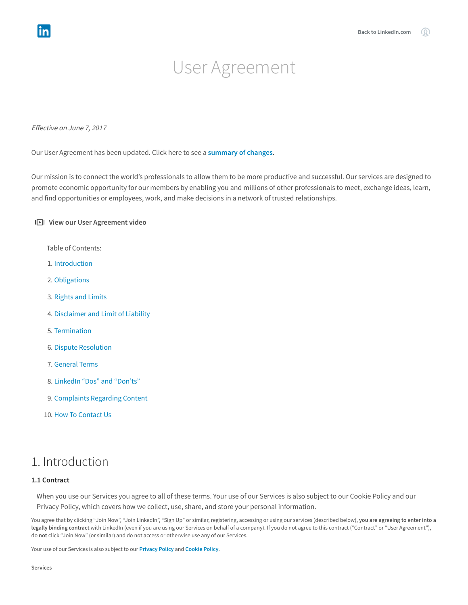# User Agreement

Effective on June 7, 2017

Our User Agreement has been updated. Click here to see a [summary](https://www.linkedin.com/legal/preview/user-agreement-summary) of changes.

Our mission is to connect the world's professionals to allow them to be more productive and successful. Our services are designed to promote economic opportunity for our members by enabling you and millions of other professionals to meet, exchange ideas, learn, and find opportunities or employees, work, and make decisions in a network of trusted relationships.

### I**D**I View our User Agreement video

Table of Contents:

- 1. [Introduction](#page-0-0)
- 2. [Obligations](#page-1-0)
- 3. [Rights](#page-2-0) and Limits
- 4. [Disclaimer](#page-3-0) and Limit of Liability
- 5. [Termination](#page-4-0)
- 6. Dispute [Resolution](#page-4-1)
- 7. [General](#page-4-2) Terms
- 8. [LinkedIn](#page-4-3) "Dos" and "Don'ts"
- 9. [Complaints](#page-6-0) Regarding Content
- 10. How To [Contact](#page-6-1) Us

### <span id="page-0-0"></span>1. Introduction

### 1.1 Contract

When you use our Services you agree to all of these terms. Your use of our Services is also subject to our Cookie Policy and our Privacy Policy, which covers how we collect, use, share, and store your personal information.

You agree that by clicking "Join Now", "Join LinkedIn", "Sign Up" or similar, registering, accessing or using our services (described below), you are agreeing to enter into a legally binding contract with LinkedIn (even if you are using our Services on behalf of a company). If you do not agree to this contract ("Contract" or "User Agreement"), do not click "Join Now" (or similar) and do not access or otherwise use any of our Services.

Your use of our Services is also subject to our [Privacy](https://www.linkedin.com/legal/privacy-policy) Policy and [Cookie](https://www.linkedin.com/legal/cookie-policy) Policy.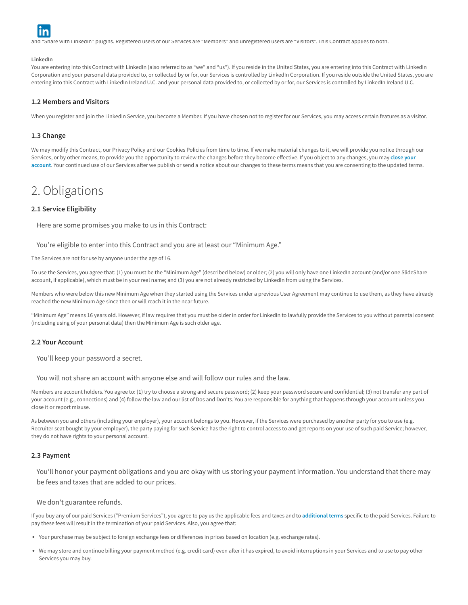

and "Share with LinkedIn" plugins. Registered users of our Services are "Members" and unregistered users are "Visitors". This Contract applies to both.

#### LinkedIn

You are entering into this Contract with LinkedIn (also referred to as "we" and "us"). If you reside in the United States, you are entering into this Contract with LinkedIn Corporation and your personal data provided to, or collected by or for, our Services is controlled by LinkedIn Corporation. If you reside outside the United States, you are entering into this Contract with LinkedIn Ireland U.C. and your personal data provided to, or collected by or for, our Services is controlled by LinkedIn Ireland U.C.

### 1.2 Members and Visitors

When you register and join the LinkedIn Service, you become a Member. If you have chosen not to register for our Services, you may access certain features as a visitor.

### 1.3 Change

We may modify this Contract, our Privacy Policy and our Cookies Policies from time to time. If we make material changes to it, we will provide you notice through our Services, or by other means, to provide you the [opportunity](https://linkedin.com/help/linkedin/answer/63?lang=en) to review the changes before they become effective. If you object to any changes, you may close your account. Your continued use of our Services after we publish or send a notice about our changes to these terms means that you are consenting to the updated terms.

# <span id="page-1-0"></span>2. Obligations

### 2.1 Service Eligibility

Here are some promises you make to us in this Contract:

You're eligible to enter into this Contract and you are at least our "Minimum Age."

The Services are not for use by anyone under the age of 16.

To use the Services, you agree that: (1) you must be the "Minimum Age" (described below) or older; (2) you will only have one LinkedIn account (and/or one SlideShare account, if applicable), which must be in your real name; and (3) you are not already restricted by LinkedIn from using the Services.

Members who were below this new Minimum Age when they started using the Services under a previous User Agreement may continue to use them, as they have already reached the new Minimum Age since then or will reach it in the near future.

"Minimum Age" means 16 years old. However, if law requires that you must be older in order for LinkedIn to lawfully provide the Services to you without parental consent (including using of your personal data) then the Minimum Age is such older age.

#### 2.2 Your Account

You'll keep your password a secret.

You will not share an account with anyone else and will follow our rules and the law.

Members are account holders. You agree to: (1) try to choose a strong and secure password; (2) keep your password secure and confidential; (3) not transfer any part of your account (e.g., connections) and (4) follow the law and our list of Dos and Don'ts. You are responsible for anything that happens through your account unless you close it or report misuse.

As between you and others (including your employer), your account belongs to you. However, if the Services were purchased by another party for you to use (e.g. Recruiter seat bought by your employer), the party paying for such Service has the right to control access to and get reports on your use of such paid Service; however, they do not have rights to your personal account.

#### 2.3 Payment

You'll honor your payment obligations and you are okay with us storing your payment information. You understand that there may be fees and taxes that are added to our prices.

We don't guarantee refunds.

If you buy any of our paid Services ("Premium Services"), you agree to pay us the applicable fees and taxes and to [additional](https://www.linkedin.com/legal/pop/terms-for-paid-services) terms specific to the paid Services. Failure to pay these fees will result in the termination of your paid Services. Also, you agree that:

- Your purchase may be subject to foreign exchange fees or differences in prices based on location (e.g. exchange rates).
- We may store and continue billing your payment method (e.g. credit card) even after it has expired, to avoid interruptions in your Services and to use to pay other Services you may buy.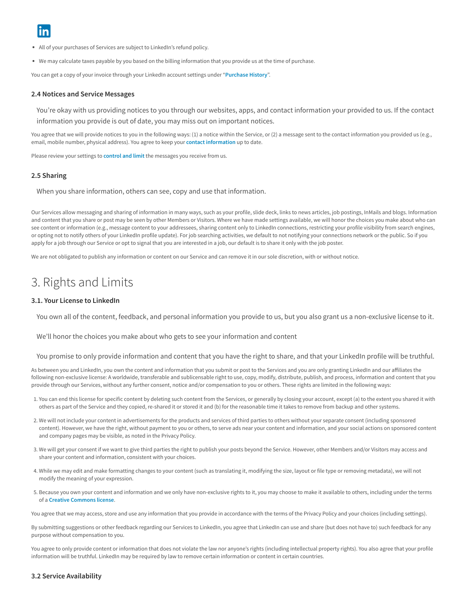- All of your purchases of Services are subject to LinkedIn's refund policy.
- We may calculate taxes payable by you based on the billing information that you provide us at the time of purchase.

You can get a copy of your invoice through your LinkedIn account settings under "[Purchase](https://www.linkedin.com/mnyfe/secure/purchasehistoryv4) History".

#### 2.4 Notices and Service Messages

You're okay with us providing notices to you through our websites, apps, and contact information your provided to us. If the contact information you provide is out of date, you may miss out on important notices.

You agree that we will provide notices to you in the following ways: (1) a notice within the Service, or (2) a message sent to the contact information you provided us (e.g., email, mobile number, physical address). You agree to keep your contact [information](https://linkedin.com/help/linkedin/answer/34987?lang=en) up to date.

Please review your settings to [control](https://linkedin.com/help/linkedin/answer/67?lang=en) and limit the messages you receive from us.

### 2.5 Sharing

When you share information, others can see, copy and use that information.

Our Services allow messaging and sharing of information in many ways, such as your profile, slide deck, links to news articles, job postings, InMails and blogs. Information and content that you share or post may be seen by other Members or Visitors. Where we have made settings available, we will honor the choices you make about who can see content or information (e.g., message content to your addressees, sharing content only to LinkedIn connections, restricting your profile visibility from search engines, or opting not to notify others of your LinkedIn profile update). For job searching activities, we default to not notifying your connections network or the public. So if you apply for a job through our Service or opt to signal that you are interested in a job, our default is to share it only with the job poster.

<span id="page-2-0"></span>We are not obligated to publish any information or content on our Service and can remove it in our sole discretion, with or without notice.

# 3. Rights and Limits

### 3.1. Your License to LinkedIn

You own all of the content, feedback, and personal information you provide to us, but you also grant us a non-exclusive license to it.

We'll honor the choices you make about who gets to see your information and content

You promise to only provide information and content that you have the right to share, and that your LinkedIn profile will be truthful.

As between you and LinkedIn, you own the content and information that you submit or post to the Services and you are only granting LinkedIn and our affiliates the following non-exclusive license: A worldwide, transferable and sublicensable right to use, copy, modify, distribute, publish, and process, information and content that you provide through our Services, without any further consent, notice and/or compensation to you or others. These rights are limited in the following ways:

- 1. You can end this license for specific content by deleting such content from the Services, or generally by closing your account, except (a) to the extent you shared it with others as part of the Service and they copied, re-shared it or stored it and (b) for the reasonable time it takes to remove from backup and other systems.
- 2. We will not include your content in advertisements for the products and services of third parties to others without your separate consent (including sponsored content). However, we have the right, without payment to you or others, to serve ads near your content and information, and your social actions on sponsored content and company pages may be visible, as noted in the Privacy Policy.
- 3. We will get your consent if we want to give third parties the right to publish your posts beyond the Service. However, other Members and/or Visitors may access and share your content and information, consistent with your choices.
- 4. While we may edit and make formatting changes to your content (such as translating it, modifying the size, layout or file type or removing metadata), we will not modify the meaning of your expression.
- 5. Because you own your content and information and we only have non-exclusive rights to it, you may choose to make it available to others, including under the terms of a Creative [Commons](https://creativecommons.org/choose/) license.

You agree that we may access, store and use any information that you provide in accordance with the terms of the Privacy Policy and your choices (including settings).

By submitting suggestions or other feedback regarding our Services to LinkedIn, you agree that LinkedIn can use and share (but does not have to) such feedback for any purpose without compensation to you.

You agree to only provide content or information that does not violate the law nor anyone's rights (including intellectual property rights). You also agree that your profile information will be truthful. LinkedIn may be required by law to remove certain information or content in certain countries.

#### 3.2 Service Availability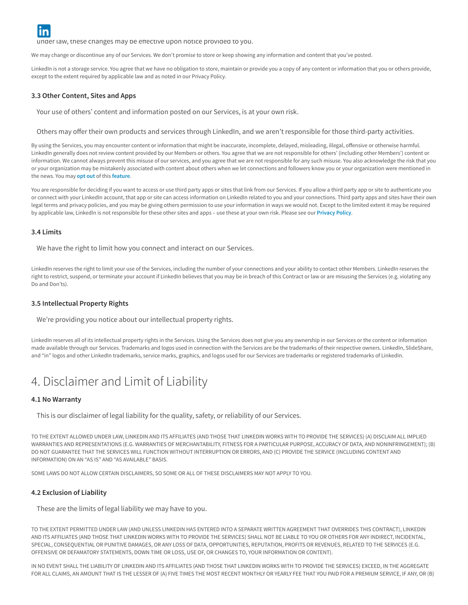$\mathbf{m}$  may change any Service, or change and modify prices prices prices prospectively in our discretion. To the extent allowed any  $\mathbf{m}$ 

under law, these changes may be effective upon notice provided to you.

We may change or discontinue any of our Services. We don't promise to store or keep showing any information and content that you've posted.

LinkedIn is not a storage service. You agree that we have no obligation to store, maintain or provide you a copy of any content or information that you or others provide, except to the extent required by applicable law and as noted in our Privacy Policy.

#### 3.3 Other Content, Sites and Apps

Your use of others' content and information posted on our Services, is at your own risk.

Others may offer their own products and services through LinkedIn, and we aren't responsible for those third-party activities.

By using the Services, you may encounter content or information that might be inaccurate, incomplete, delayed, misleading, illegal, offensive or otherwise harmful. LinkedIn generally does not review content provided by our Members or others. You agree that we are not responsible for others' (including other Members') content or information. We cannot always prevent this misuse of our services, and you agree that we are not responsible for any such misuse. You also acknowledge the risk that you or your organization may be mistakenly associated with content about others when we let connections and followers know you or your organization were mentioned in the news. You may [opt](https://www.linkedin.com/psettings/news-mention-broadcast) out of this [feature](https://linkedin.com/help/linkedin/answer/50021?lang=en).

You are responsible for deciding if you want to access or use third party apps or sites that link from our Services. If you allow a third party app or site to authenticate you or connect with your LinkedIn account, that app or site can access information on LinkedIn related to you and your connections. Third party apps and sites have their own legal terms and privacy policies, and you may be giving others permission to use your information in ways we would not. Except to the limited extent it may be required by applicable law, LinkedIn is not responsible for these other sites and apps – use these at your own risk. Please see our [Privacy](https://www.linkedin.com/legal/privacy-policy) Policy.

#### 3.4 Limits

We have the right to limit how you connect and interact on our Services.

LinkedIn reserves the right to limit your use of the Services, including the number of your connections and your ability to contact other Members. LinkedIn reserves the right to restrict, suspend, or terminate your account if LinkedIn believes that you may be in breach of this Contract or law or are misusing the Services (e.g. violating any Do and Don'ts).

#### 3.5 Intellectual Property Rights

We're providing you notice about our intellectual property rights.

LinkedIn reserves all of its intellectual property rights in the Services. Using the Services does not give you any ownership in our Services or the content or information made available through our Services. Trademarks and logos used in connection with the Services are be the trademarks of their respective owners. LinkedIn, SlideShare, and "in" logos and other LinkedIn trademarks, service marks, graphics, and logos used for our Services are trademarks or registered trademarks of LinkedIn.

# <span id="page-3-0"></span>4. Disclaimer and Limit of Liability

### 4.1 No Warranty

This is our disclaimer of legal liability for the quality, safety, or reliability of our Services.

TO THE EXTENT ALLOWED UNDER LAW, LINKEDIN AND ITS AFFILIATES (AND THOSE THAT LINKEDIN WORKS WITH TO PROVIDE THE SERVICES) (A) DISCLAIM ALL IMPLIED WARRANTIES AND REPRESENTATIONS (E.G. WARRANTIES OF MERCHANTABILITY, FITNESS FOR A PARTICULAR PURPOSE, ACCURACY OF DATA, AND NONINFRINGEMENT); (B) DO NOT GUARANTEE THAT THE SERVICES WILL FUNCTION WITHOUT INTERRUPTION OR ERRORS, AND (C) PROVIDE THE SERVICE (INCLUDING CONTENT AND INFORMATION) ON AN "AS IS" AND "AS AVAILABLE" BASIS.

SOME LAWS DO NOT ALLOW CERTAIN DISCLAIMERS, SO SOME OR ALL OF THESE DISCLAIMERS MAY NOT APPLY TO YOU.

#### 4.2 Exclusion of Liability

These are the limits of legal liability we may have to you.

TO THE EXTENT PERMITTED UNDER LAW (AND UNLESS LINKEDIN HAS ENTERED INTO A SEPARATE WRITTEN AGREEMENT THAT OVERRIDES THIS CONTRACT), LINKEDIN AND ITS AFFILIATES (AND THOSE THAT LINKEDIN WORKS WITH TO PROVIDE THE SERVICES) SHALL NOT BE LIABLE TO YOU OR OTHERS FOR ANY INDIRECT, INCIDENTAL, SPECIAL, CONSEQUENTIAL OR PUNITIVE DAMAGES, OR ANY LOSS OF DATA, OPPORTUNITIES, REPUTATION, PROFITS OR REVENUES, RELATED TO THE SERVICES (E.G. OFFENSIVE OR DEFAMATORY STATEMENTS, DOWN TIME OR LOSS, USE OF, OR CHANGES TO, YOUR INFORMATION OR CONTENT).

IN NO EVENT SHALL THE LIABILITY OF LINKEDIN AND ITS AFFILIATES (AND THOSE THAT LINKEDIN WORKS WITH TO PROVIDE THE SERVICES) EXCEED, IN THE AGGREGATE FOR ALL CLAIMS, AN AMOUNT THAT IS THE LESSER OF (A) FIVE TIMES THE MOST RECENT MONTHLY OR YEARLY FEE THAT YOU PAID FOR A PREMIUM SERVICE, IF ANY, OR (B)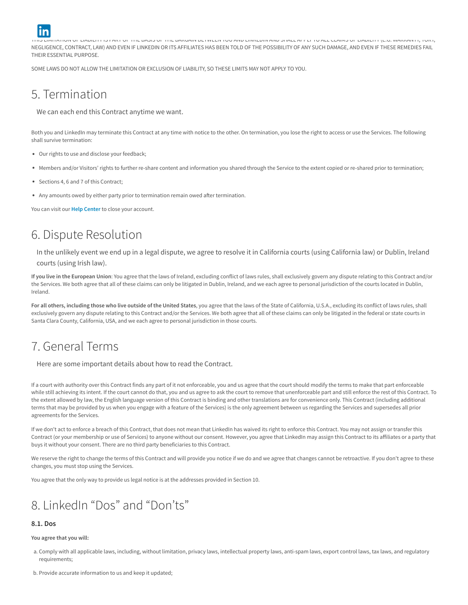

THIS LIMITATION OF LIABILITY IS PART OF THE BASIS OF THE BARGAIN BETWEEN YOU AND LINKEDIN AND SHALL APPLY TO ALL CLAIMS OF LIABILITY (E.G. WARRANTY, TORT, NEGLIGENCE, CONTRACT, LAW) AND EVEN IF LINKEDIN OR ITS AFFILIATES HAS BEEN TOLD OF THE POSSIBILITY OF ANY SUCH DAMAGE, AND EVEN IF THESE REMEDIES FAIL THEIR ESSENTIAL PURPOSE.

<span id="page-4-0"></span>SOME LAWS DO NOT ALLOW THE LIMITATION OR EXCLUSION OF LIABILITY, SO THESE LIMITS MAY NOT APPLY TO YOU.

# 5. Termination

We can each end this Contract anytime we want.

Both you and LinkedIn may terminate this Contract at any time with notice to the other. On termination, you lose the right to access or use the Services. The following shall survive termination:

- Our rights to use and disclose your feedback;
- Members and/or Visitors' rights to further re-share content and information you shared through the Service to the extent copied or re-shared prior to termination;
- Sections 4, 6 and 7 of this Contract;
- Any amounts owed by either party prior to termination remain owed after termination.

<span id="page-4-1"></span>You can visit our **Help [Center](https://linkedin.com/help/linkedin/answer/63?lang=en)** to close your account.

# 6. Dispute Resolution

In the unlikely event we end up in a legal dispute, we agree to resolve it in California courts (using California law) or Dublin, Ireland courts (using Irish law).

If you live in the European Union: You agree that the laws of Ireland, excluding conflict of laws rules, shall exclusively govern any dispute relating to this Contract and/or the Services. We both agree that all of these claims can only be litigated in Dublin, Ireland, and we each agree to personal jurisdiction of the courts located in Dublin, Ireland.

For all others, including those who live outside of the United States, you agree that the laws of the State of California, U.S.A., excluding its conflict of laws rules, shall exclusively govern any dispute relating to this Contract and/or the Services. We both agree that all of these claims can only be litigated in the federal or state courts in Santa Clara County, California, USA, and we each agree to personal jurisdiction in those courts.

# <span id="page-4-2"></span>7. General Terms

Here are some important details about how to read the Contract.

If a court with authority over this Contract finds any part of it not enforceable, you and us agree that the court should modify the terms to make that part enforceable while still achieving its intent. If the court cannot do that, you and us agree to ask the court to remove that unenforceable part and still enforce the rest of this Contract. To the extent allowed by law, the English language version of this Contract is binding and other translations are for convenience only. This Contract (including additional terms that may be provided by us when you engage with a feature of the Services) is the only agreement between us regarding the Services and supersedes all prior agreements for the Services.

If we don't act to enforce a breach of this Contract, that does not mean that LinkedIn has waived its right to enforce this Contract. You may not assign or transfer this Contract (or your membership or use of Services) to anyone without our consent. However, you agree that LinkedIn may assign this Contract to its affiliates or a party that buys it without your consent. There are no third party beneficiaries to this Contract.

We reserve the right to change the terms of this Contract and will provide you notice if we do and we agree that changes cannot be retroactive. If you don't agree to these changes, you must stop using the Services.

<span id="page-4-3"></span>You agree that the only way to provide us legal notice is at the addresses provided in Section 10.

# 8. LinkedIn "Dos" and "Don'ts"

### 8.1. Dos

You agree that you will:

- a. Comply with all applicable laws, including, without limitation, privacy laws, intellectual property laws, anti-spam laws, export control laws, tax laws, and regulatory requirements;
- b. Provide accurate information to us and keep it updated;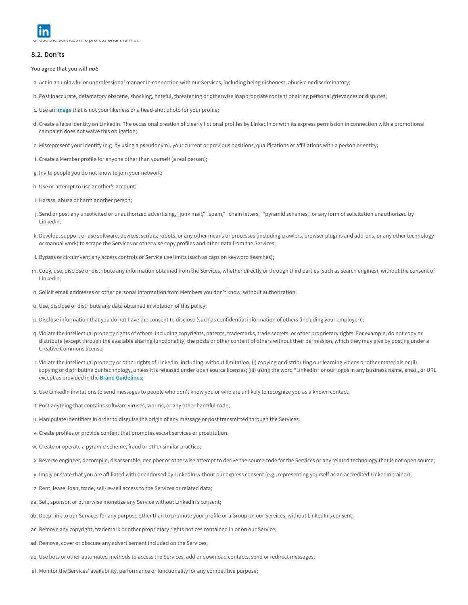d. Use the Services in a professional manner.

#### 8.2. Don'ts

You agree that you will not:

- a. Act in an unlawful or unprofessional manner in connection with our Services, including being dishonest, abusive or discriminatory;
- b. Post inaccurate, defamatory obscene, shocking, hateful, threatening or otherwise inappropriate content or airing personal grievances or disputes;
- c. Use an [image](https://linkedin.com/help/linkedin/answer/430?lang=en) that is not your likeness or a head-shot photo for your profile;
- d. Create a false identity on LinkedIn. The occasional creation of clearly fictional profiles by LinkedIn or with its express permission in connection with a promotional campaign does not waive this obligation;
- e. Misrepresent your identity (e.g. by using a pseudonym), your current or previous positions, qualifications or affiliations with a person or entity;
- f. Create a Member profile for anyone other than yourself (a real person);
- g. Invite people you do not know to join your network;
- h. Use or attempt to use another's account;
- i. Harass, abuse or harm another person;
- j. Send or post any unsolicited or unauthorized advertising, "junk mail," "spam," "chain letters," "pyramid schemes," or any form of solicitation unauthorized by LinkedIn;
- k. Develop, support or use software, devices, scripts, robots, or any other means or processes (including crawlers, browser plugins and add-ons, or any other technology or manual work) to scrape the Services or otherwise copy profiles and other data from the Services;
- l. Bypass or circumvent any access controls or Service use limits (such as caps on keyword searches);
- m. Copy, use, disclose or distribute any information obtained from the Services, whether directly or through third parties (such as search engines), without the consent of LinkedIn;
- n. Solicit email addresses or other personal information from Members you don't know, without authorization.
- o. Use, disclose or distribute any data obtained in violation of this policy;
- p. Disclose information that you do not have the consent to disclose (such as confidential information of others (including your employer));
- q. Violate the intellectual property rights of others, including copyrights, patents, trademarks, trade secrets, or other proprietary rights. For example, do not copy or distribute (except through the available sharing functionality) the posts or other content of others without their permission, which they may give by posting under a Creative Commons license;
- r. Violate the intellectual property or other rights of LinkedIn, including, without limitation, (i) copying or distributing our learning videos or other materials or (ii) copying or distributing our technology, unless it is released under open source licenses; (iii) using the word "LinkedIn" or our logos in any business name, email, or URL except as provided in the **Brand Guidelines:**
- s. Use LinkedIn invitations to send messages to people who don't know you or who are unlikely to recognize you as a known contact;
- t. Post anything that contains software viruses, worms, or any other harmful code;
- u. Manipulate identifiers in order to disguise the origin of any message or post transmitted through the Services.
- v. Create profiles or provide content that promotes escort services or prostitution.
- w. Create or operate a pyramid scheme, fraud or other similar practice;
- x. Reverse engineer, decompile, disassemble, decipher or otherwise attempt to derive the source code for the Services or any related technology that is not open source;
- y. Imply or state that you are affiliated with or endorsed by LinkedIn without our express consent (e.g., representing yourself as an accredited LinkedIn trainer);
- z. Rent, lease, loan, trade, sell/re-sell access to the Services or related data;
- aa. Sell, sponsor, or otherwise monetize any Service without LinkedIn's consent;
- ab. Deep-link to our Services for any purpose other than to promote your profile or a Group on our Services, without LinkedIn's consent;
- ac. Remove any copyright, trademark or other proprietary rights notices contained in or on our Service;
- ad. Remove, cover or obscure any advertisement included on the Services;
- ae. Use bots or other automated methods to access the Services, add or download contacts, send or redirect messages;
- af. Monitor the Services' availability, performance or functionality for any competitive purpose;